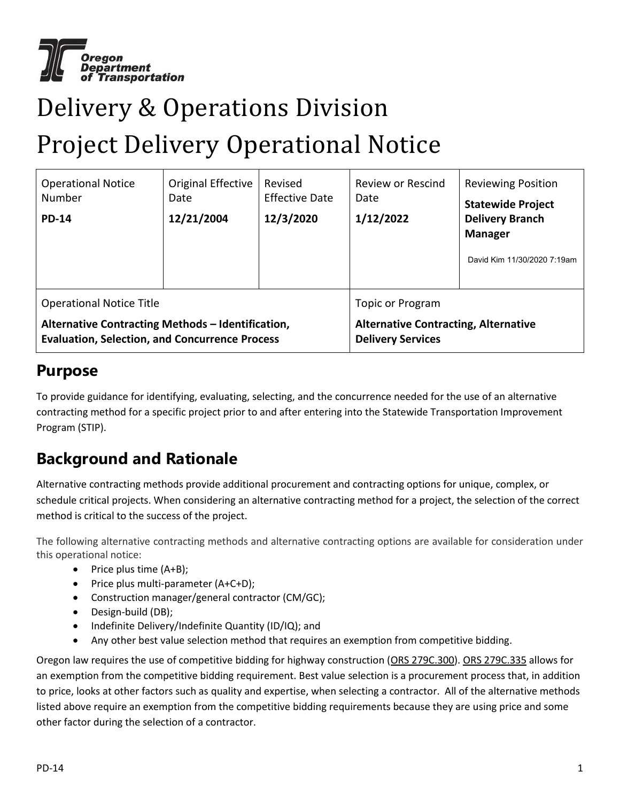

# Delivery & Operations Division

### Project Delivery Operational Notice

| <b>Operational Notice</b><br>Number<br><b>PD-14</b>                                                        | Original Effective<br>Date<br>12/21/2004 | Revised<br><b>Effective Date</b><br>12/3/2020 | Review or Rescind<br>Date<br>1/12/2022                                  | <b>Reviewing Position</b><br><b>Statewide Project</b><br><b>Delivery Branch</b><br><b>Manager</b><br>David Kim 11/30/2020 7:19am |
|------------------------------------------------------------------------------------------------------------|------------------------------------------|-----------------------------------------------|-------------------------------------------------------------------------|----------------------------------------------------------------------------------------------------------------------------------|
| <b>Operational Notice Title</b>                                                                            |                                          |                                               | Topic or Program                                                        |                                                                                                                                  |
| Alternative Contracting Methods - Identification,<br><b>Evaluation, Selection, and Concurrence Process</b> |                                          |                                               | <b>Alternative Contracting, Alternative</b><br><b>Delivery Services</b> |                                                                                                                                  |

#### **Purpose**

To provide guidance for identifying, evaluating, selecting, and the concurrence needed for the use of an alternative contracting method for a specific project prior to and after entering into the Statewide Transportation Improvement Program (STIP).

### **Background and Rationale**

Alternative contracting methods provide additional procurement and contracting options for unique, complex, or schedule critical projects. When considering an alternative contracting method for a project, the selection of the correct method is critical to the success of the project.

The following alternative contracting methods and alternative contracting options are available for consideration under this operational notice:

- $\bullet$  Price plus time (A+B);
- Price plus multi-parameter (A+C+D);
- Construction manager/general contractor (CM/GC);
- Design-build (DB);
- Indefinite Delivery/Indefinite Quantity (ID/IQ); and
- Any other best value selection method that requires an exemption from competitive bidding.

Oregon law requires the use of competitive bidding for highway construction [\(ORS 279C.300\)](https://www.oregonlegislature.gov/bills_laws/ors/ors279c.html). [ORS 279C.335](https://www.oregonlegislature.gov/bills_laws/ors/ors279c.html) allows for an exemption from the competitive bidding requirement. Best value selection is a [procurement](https://en.wikipedia.org/wiki/Procurement) process that, in addition to price, looks at other factors such as [quality](https://en.wikipedia.org/wiki/Quality_(business)) and expertise, when selecting [a contractor.](https://en.wikipedia.org/wiki/Contractors) All of the alternative methods listed above require an exemption from the competitive bidding requirements because they are using price and some other factor during the selection of a contractor.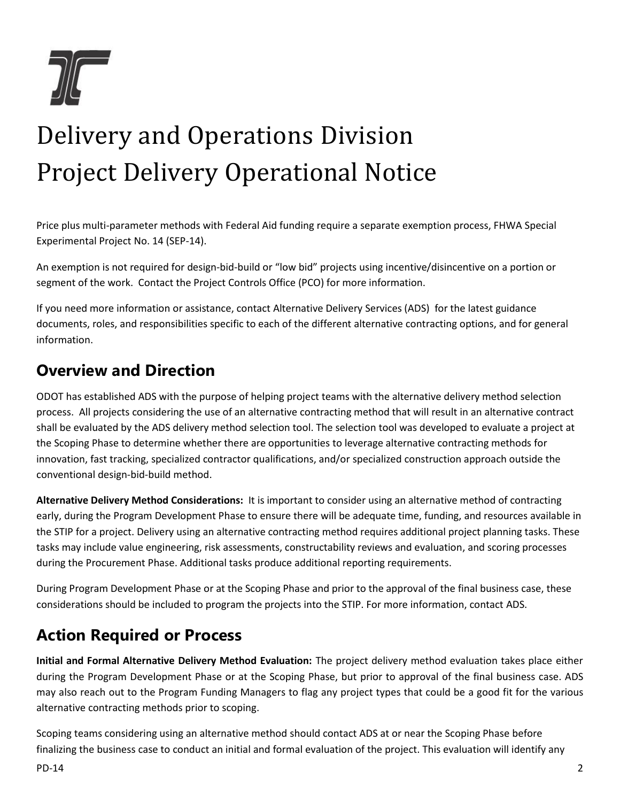

Price plus multi-parameter methods with Federal Aid funding require a separate exemption process, FHWA Special Experimental Project No. 14 (SEP-14).

An exemption is not required for design-bid-build or "low bid" projects using incentive/disincentive on a portion or segment of the work. Contact the Project Controls Office (PCO) for more information.

If you need more information or assistance, contact Alternative Delivery Services (ADS) for the latest guidance documents, roles, and responsibilities specific to each of the different alternative contracting options, and for general information.

#### **Overview and Direction**

ODOT has established ADS with the purpose of helping project teams with the alternative delivery method selection process. All projects considering the use of an alternative contracting method that will result in an alternative contract shall be evaluated by the ADS delivery method selection tool. The selection tool was developed to evaluate a project at the Scoping Phase to determine whether there are opportunities to leverage alternative contracting methods for innovation, fast tracking, specialized contractor qualifications, and/or specialized construction approach outside the conventional design-bid-build method.

**Alternative Delivery Method Considerations:** It is important to consider using an alternative method of contracting early, during the Program Development Phase to ensure there will be adequate time, funding, and resources available in the STIP for a project. Delivery using an alternative contracting method requires additional project planning tasks. These tasks may include value engineering, risk assessments, constructability reviews and evaluation, and scoring processes during the Procurement Phase. Additional tasks produce additional reporting requirements.

During Program Development Phase or at the Scoping Phase and prior to the approval of the final business case, these considerations should be included to program the projects into the STIP. For more information, contact [ADS.](mailto:innovative.delivery@odot.state.or.us?subject=ADS%20Email)

#### **Action Required or Process**

**Initial and Formal Alternative Delivery Method Evaluation:** The project delivery method evaluation takes place either during the Program Development Phase or at the Scoping Phase, but prior to approval of the final business case. ADS may also reach out to the Program Funding Managers to flag any project types that could be a good fit for the various alternative contracting methods prior to scoping.

Scoping teams considering using an alternative method should contact ADS at or near the Scoping Phase before finalizing the business case to conduct an initial and formal evaluation of the project. This evaluation will identify any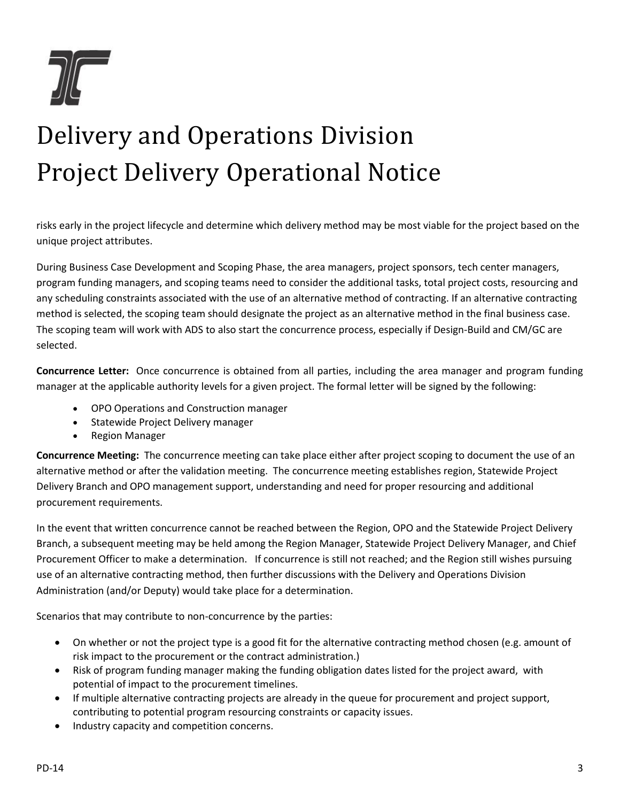

risks early in the project lifecycle and determine which delivery method may be most viable for the project based on the unique project attributes.

During Business Case Development and Scoping Phase, the area managers, project sponsors, tech center managers, program funding managers, and scoping teams need to consider the additional tasks, total project costs, resourcing and any scheduling constraints associated with the use of an alternative method of contracting. If an alternative contracting method is selected, the scoping team should designate the project as an alternative method in the final business case. The scoping team will work with ADS to also start the concurrence process, especially if Design-Build and CM/GC are selected.

**Concurrence Letter:** Once concurrence is obtained from all parties, including the area manager and program funding manager at the applicable authority levels for a given project. The formal letter will be signed by the following:

- OPO Operations and Construction manager
- Statewide Project Delivery manager
- Region Manager

**Concurrence Meeting:** The concurrence meeting can take place either after project scoping to document the use of an alternative method or after the validation meeting. The concurrence meeting establishes region, Statewide Project Delivery Branch and OPO management support, understanding and need for proper resourcing and additional procurement requirements.

In the event that written concurrence cannot be reached between the Region, OPO and the Statewide Project Delivery Branch, a subsequent meeting may be held among the Region Manager, Statewide Project Delivery Manager, and Chief Procurement Officer to make a determination. If concurrence is still not reached; and the Region still wishes pursuing use of an alternative contracting method, then further discussions with the Delivery and Operations Division Administration (and/or Deputy) would take place for a determination.

Scenarios that may contribute to non-concurrence by the parties:

- On whether or not the project type is a good fit for the alternative contracting method chosen (e.g. amount of risk impact to the procurement or the contract administration.)
- Risk of program funding manager making the funding obligation dates listed for the project award, with potential of impact to the procurement timelines.
- If multiple alternative contracting projects are already in the queue for procurement and project support, contributing to potential program resourcing constraints or capacity issues.
- Industry capacity and competition concerns.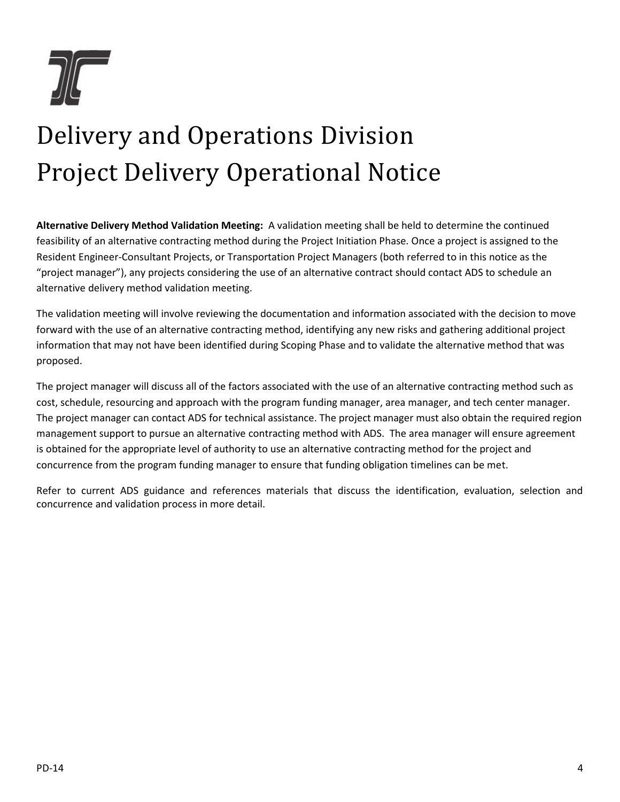

**Alternative Delivery Method Validation Meeting:** A validation meeting shall be held to determine the continued feasibility of an alternative contracting method during the Project Initiation Phase. Once a project is assigned to the Resident Engineer-Consultant Projects, or Transportation Project Managers (both referred to in this notice as the "project manager"), any projects considering the use of an alternative contract should contact ADS to schedule an alternative delivery method validation meeting.

The validation meeting will involve reviewing the documentation and information associated with the decision to move forward with the use of an alternative contracting method, identifying any new risks and gathering additional project information that may not have been identified during Scoping Phase and to validate the alternative method that was proposed.

The project manager will discuss all of the factors associated with the use of an alternative contracting method such as cost, schedule, resourcing and approach with the program funding manager, area manager, and tech center manager. The project manager can contact ADS for technical assistance. The project manager must also obtain the required region management support to pursue an alternative contracting method with ADS. The area manager will ensure agreement is obtained for the appropriate level of authority to use an alternative contracting method for the project and concurrence from the program funding manager to ensure that funding obligation timelines can be met.

Refer to current ADS guidance and references materials that discuss the identification, evaluation, selection and concurrence and validation process in more detail.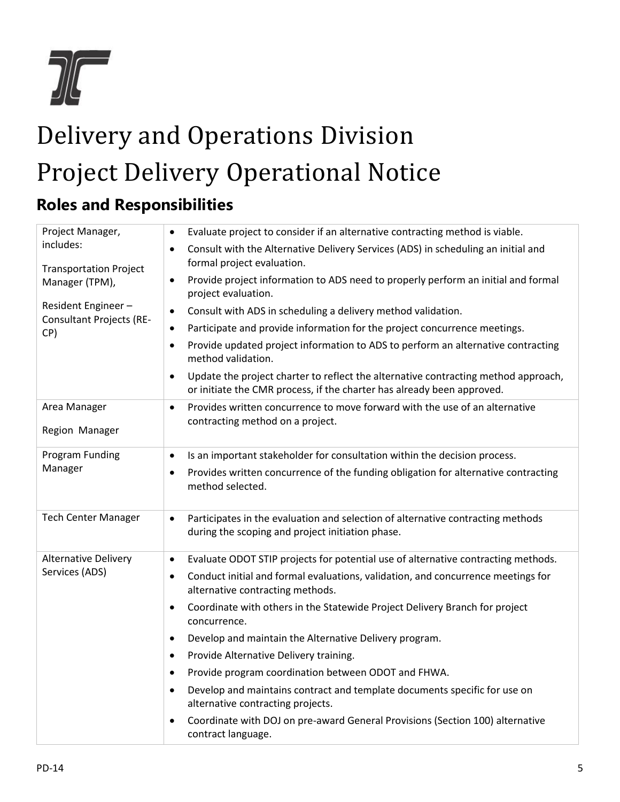

### **Roles and Responsibilities**

| Project Manager,                                             | Evaluate project to consider if an alternative contracting method is viable.<br>$\bullet$                                                                    |  |  |  |  |
|--------------------------------------------------------------|--------------------------------------------------------------------------------------------------------------------------------------------------------------|--|--|--|--|
| includes:<br><b>Transportation Project</b><br>Manager (TPM), | Consult with the Alternative Delivery Services (ADS) in scheduling an initial and<br>$\bullet$<br>formal project evaluation.                                 |  |  |  |  |
|                                                              | Provide project information to ADS need to properly perform an initial and formal<br>$\bullet$<br>project evaluation.                                        |  |  |  |  |
| Resident Engineer-<br><b>Consultant Projects (RE-</b><br>CP) | Consult with ADS in scheduling a delivery method validation.<br>$\bullet$                                                                                    |  |  |  |  |
|                                                              | Participate and provide information for the project concurrence meetings.<br>٠                                                                               |  |  |  |  |
|                                                              | Provide updated project information to ADS to perform an alternative contracting<br>$\bullet$<br>method validation.                                          |  |  |  |  |
|                                                              | Update the project charter to reflect the alternative contracting method approach,<br>or initiate the CMR process, if the charter has already been approved. |  |  |  |  |
| Area Manager<br>Region Manager                               | Provides written concurrence to move forward with the use of an alternative<br>$\bullet$<br>contracting method on a project.                                 |  |  |  |  |
| <b>Program Funding</b><br>Manager                            | Is an important stakeholder for consultation within the decision process.<br>$\bullet$                                                                       |  |  |  |  |
|                                                              | Provides written concurrence of the funding obligation for alternative contracting<br>$\bullet$<br>method selected.                                          |  |  |  |  |
| <b>Tech Center Manager</b>                                   | Participates in the evaluation and selection of alternative contracting methods<br>$\bullet$<br>during the scoping and project initiation phase.             |  |  |  |  |
| <b>Alternative Delivery</b><br>Services (ADS)                | Evaluate ODOT STIP projects for potential use of alternative contracting methods.<br>$\bullet$                                                               |  |  |  |  |
|                                                              | Conduct initial and formal evaluations, validation, and concurrence meetings for<br>$\bullet$<br>alternative contracting methods.                            |  |  |  |  |
|                                                              | Coordinate with others in the Statewide Project Delivery Branch for project<br>$\bullet$<br>concurrence.                                                     |  |  |  |  |
|                                                              | Develop and maintain the Alternative Delivery program.<br>$\bullet$                                                                                          |  |  |  |  |
|                                                              | Provide Alternative Delivery training.<br>$\bullet$                                                                                                          |  |  |  |  |
|                                                              | Provide program coordination between ODOT and FHWA.<br>$\bullet$                                                                                             |  |  |  |  |
|                                                              | Develop and maintains contract and template documents specific for use on<br>alternative contracting projects.                                               |  |  |  |  |
|                                                              | Coordinate with DOJ on pre-award General Provisions (Section 100) alternative<br>$\bullet$<br>contract language.                                             |  |  |  |  |